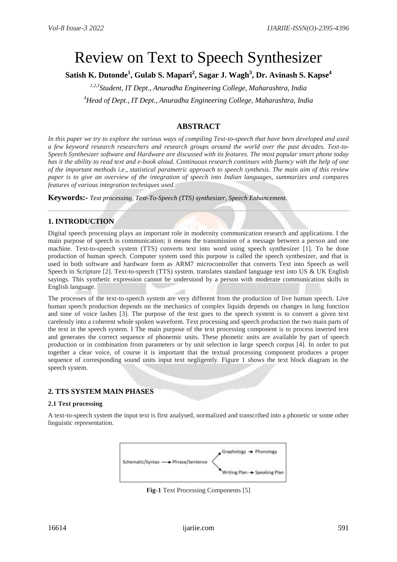# Review on Text to Speech Synthesizer

**Satish K. Dutonde<sup>1</sup> , Gulab S. Mapari<sup>2</sup> , Sagar J. Wagh<sup>3</sup> , Dr. Avinash S. Kapse<sup>4</sup>**

*1,2,3Student, IT Dept., Anuradha Engineering College, Maharashtra, India <sup>4</sup>Head of Dept., IT Dept., Anuradha Engineering College, Maharashtra, India*

# **ABSTRACT**

In this paper we try to explore the various ways of compiling Text-to-speech that have been developed and used *a few keyword research researchers and research groups around the world over the past decades. Text-to-Speech Synthesizer software and Hardware are discussed with its features. The most popular smart phone today has it the ability to read text and e-book aloud. Continuous research continues with fluency with the help of one of the important methods i.e., statistical parametric approach to speech synthesis. The main aim of this review paper is to give an overview of the integration of speech into Indian languages, summarizes and compares features of various integration techniques used.*

**Keywords:-** *Text processing, Text-To-Speech (TTS) synthesizer, Speech Enhancement.*

# **1. INTRODUCTION**

Digital speech processing plays an important role in modernity communication research and applications. I the main purpose of speech is communication; it means the transmission of a message between a person and one machine. Text-to-speech system (TTS) converts text into word using speech synthesizer [1]. To be done production of human speech. Computer system used this purpose is called the speech synthesizer, and that is used in both software and hardware form as ARM7 microcontroller that converts Text into Speech as well Speech in Scripture [2]. Text-to-speech (TTS) system. translates standard language text into US & UK English sayings. This synthetic expression cannot be understood by a person with moderate communication skills in English language.

The processes of the text-to-speech system are very different from the production of live human speech. Live human speech production depends on the mechanics of complex liquids depends on changes in lung function and tone of voice lashes [3]. The purpose of the text goes to the speech system is to convert a given text carelessly into a coherent whole spoken waveform. Text processing and speech production the two main parts of the text in the speech system. I The main purpose of the text processing component is to process inserted text and generates the correct sequence of phonemic units. These phonetic units are available by part of speech production or in combination from parameters or by unit selection in large speech corpus [4]. In order to put together a clear voice, of course it is important that the textual processing component produces a proper sequence of corresponding sound units input text negligently. Figure 1 shows the text block diagram in the speech system.

# **2. TTS SYSTEM MAIN PHASES**

## **2.1 Text processing**

A text-to-speech system the input text is first analysed, normalized and transcribed into a phonetic or some other linguistic representation.



**Fig-1** Text Processing Components [5]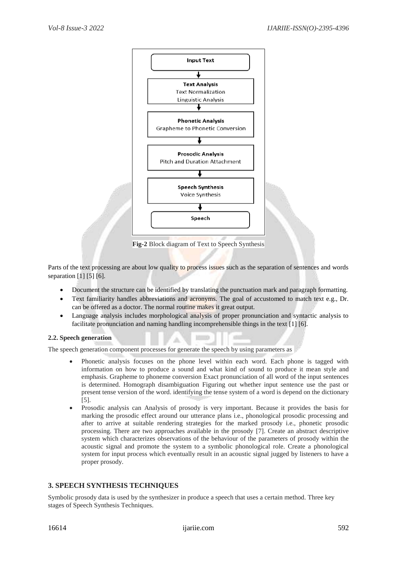

**Fig-2** Block diagram of Text to Speech Synthesis

Parts of the text processing are about low quality to process issues such as the separation of sentences and words separation [1] [5] [6].

- Document the structure can be identified by translating the punctuation mark and paragraph formatting.
- Text familiarity handles abbreviations and acronyms. The goal of accustomed to match text e.g., Dr. can be offered as a doctor. The normal routine makes it great output.
- Language analysis includes morphological analysis of proper pronunciation and syntactic analysis to facilitate pronunciation and naming handling incomprehensible things in the text [1] [6].

## **2.2. Speech generation**

The speech generation component processes for generate the speech by using parameters as

- Phonetic analysis focuses on the phone level within each word. Each phone is tagged with information on how to produce a sound and what kind of sound to produce it mean style and emphasis. Grapheme to phoneme conversion Exact pronunciation of all word of the input sentences is determined. Homograph disambiguation Figuring out whether input sentence use the past or present tense version of the word. identifying the tense system of a word is depend on the dictionary [5].
- Prosodic analysis can Analysis of prosody is very important. Because it provides the basis for marking the prosodic effect around our utterance plans i.e., phonological prosodic processing and after to arrive at suitable rendering strategies for the marked prosody i.e., phonetic prosodic processing. There are two approaches available in the prosody [7]. Create an abstract descriptive system which characterizes observations of the behaviour of the parameters of prosody within the acoustic signal and promote the system to a symbolic phonological role. Create a phonological system for input process which eventually result in an acoustic signal jugged by listeners to have a proper prosody.

## **3. SPEECH SYNTHESIS TECHNIQUES**

Symbolic prosody data is used by the synthesizer in produce a speech that uses a certain method. Three key stages of Speech Synthesis Techniques.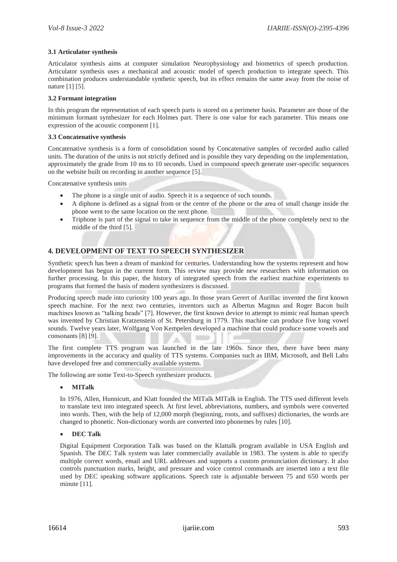#### **3.1 Articulator synthesis**

Articulator synthesis aims at computer simulation Neurophysiology and biometrics of speech production. Articulator synthesis uses a mechanical and acoustic model of speech production to integrate speech. This combination produces understandable synthetic speech, but its effect remains the same away from the noise of nature [1] [5].

#### **3.2 Formant integration**

In this program the representation of each speech parts is stored on a perimeter basis. Parameter are those of the minimum formant synthesizer for each Holmes part. There is one value for each parameter. This means one expression of the acoustic component [1].

#### **3.3 Concatenative synthesis**

Concatenative synthesis is a form of consolidation sound by Concatenative samples of recorded audio called units. The duration of the units is not strictly defined and is possible they vary depending on the implementation, approximately the grade from 10 ms to 10 seconds. Used in compound speech generate user-specific sequences on the website built on recording in another sequence [5].

Concatenative synthesis units

- The phone is a single unit of audio. Speech it is a sequence of such sounds.
- A diphone is defined as a signal from or the centre of the phone or the area of small change inside the phone went to the same location on the next phone.
- Triphone is part of the signal to take in sequence from the middle of the phone completely next to the middle of the third [5].

# **4. DEVELOPMENT OF TEXT TO SPEECH SYNTHESIZER**

Synthetic speech has been a dream of mankind for centuries. Understanding how the systems represent and how development has begun in the current form. This review may provide new researchers with information on further processing. In this paper, the history of integrated speech from the earliest machine experiments to programs that formed the basis of modern synthesizers is discussed.

Producing speech made into curiosity 100 years ago. In those years Gerert of Aurillac invented the first known speech machine. For the next two centuries, inventors such as Albertus Magnus and Roger Bacon built machines known as "talking heads" [7]. However, the first known device to attempt to mimic real human speech was invented by Christian Kratzenstein of St. Petersburg in 1779. This machine can produce five long vowel sounds. Twelve years later, Wolfgang Von Kempelen developed a machine that could produce some vowels and consonants [8] [9].

The first complete TTS program was launched in the late 1960s. Since then, there have been many improvements in the accuracy and quality of TTS systems. Companies such as IBM, Microsoft, and Bell Labs have developed free and commercially available systems.

The following are some Text-to-Speech synthesizer products.

#### **MITalk**

In 1976, Allen, Hunnicutt, and Klatt founded the MITalk MITalk in English. The TTS used different levels to translate text into integrated speech. At first level, abbreviations, numbers, and symbols were converted into words. Then, with the help of 12,000 morph (beginning, roots, and suffixes) dictionaries, the words are changed to phonetic. Non-dictionary words are converted into phonemes by rules [10].

## **DEC Talk**

Digital Equipment Corporation Talk was based on the Klattalk program available in USA English and Spanish. The DEC Talk system was later commercially available in 1983. The system is able to specify multiple correct words, email and URL addresses and supports a custom pronunciation dictionary. It also controls punctuation marks, height, and pressure and voice control commands are inserted into a text file used by DEC speaking software applications. Speech rate is adjustable between 75 and 650 words per minute [11].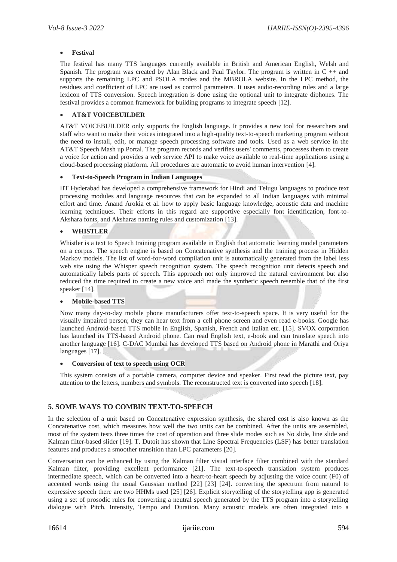#### **Festival**

The festival has many TTS languages currently available in British and American English, Welsh and Spanish. The program was created by Alan Black and Paul Taylor. The program is written in  $C + \alpha$ supports the remaining LPC and PSOLA modes and the MBROLA website. In the LPC method, the residues and coefficient of LPC are used as control parameters. It uses audio-recording rules and a large lexicon of TTS conversion. Speech integration is done using the optional unit to integrate diphones. The festival provides a common framework for building programs to integrate speech [12].

#### **AT&T VOICEBUILDER**

AT&T VOICEBUILDER only supports the English language. It provides a new tool for researchers and staff who want to make their voices integrated into a high-quality text-to-speech marketing program without the need to install, edit, or manage speech processing software and tools. Used as a web service in the AT&T Speech Mash up Portal. The program records and verifies users' comments, processes them to create a voice for action and provides a web service API to make voice available to real-time applications using a cloud-based processing platform. All procedures are automatic to avoid human intervention [4].

#### **Text-to-Speech Program in Indian Languages**

IIT Hyderabad has developed a comprehensive framework for Hindi and Telugu languages to produce text processing modules and language resources that can be expanded to all Indian languages with minimal effort and time. Anand Arokia et al. how to apply basic language knowledge, acoustic data and machine learning techniques. Their efforts in this regard are supportive especially font identification, font-to-Akshara fonts, and Aksharas naming rules and customization [13].

#### **WHISTLER**

Whistler is a text to Speech training program available in English that automatic learning model parameters on a corpus. The speech engine is based on Concatenative synthesis and the training process in Hidden Markov models. The list of word-for-word compilation unit is automatically generated from the label less web site using the Whisper speech recognition system. The speech recognition unit detects speech and automatically labels parts of speech. This approach not only improved the natural environment but also reduced the time required to create a new voice and made the synthetic speech resemble that of the first speaker [14].

#### **Mobile-based TTS**

Now many day-to-day mobile phone manufacturers offer text-to-speech space. It is very useful for the visually impaired person; they can hear text from a cell phone screen and even read e-books. Google has launched Android-based TTS mobile in English, Spanish, French and Italian etc. [15]. SVOX corporation has launched its TTS-based Android phone. Can read English text, e-book and can translate speech into another language [16]. C-DAC Mumbai has developed TTS based on Android phone in Marathi and Oriya languages [17].

#### **Conversion of text to speech using OCR**

This system consists of a portable camera, computer device and speaker. First read the picture text, pay attention to the letters, numbers and symbols. The reconstructed text is converted into speech [18].

## **5. SOME WAYS TO COMBIN TEXT-TO-SPEECH**

In the selection of a unit based on Concatenative expression synthesis, the shared cost is also known as the Concatenative cost, which measures how well the two units can be combined. After the units are assembled, most of the system tests three times the cost of operation and three slide modes such as No slide, line slide and Kalman filter-based slider [19]. T. Dutoit has shown that Line Spectral Frequencies (LSF) has better translation features and produces a smoother transition than LPC parameters [20].

Conversation can be enhanced by using the Kalman filter visual interface filter combined with the standard Kalman filter, providing excellent performance [21]. The text-to-speech translation system produces intermediate speech, which can be converted into a heart-to-heart speech by adjusting the voice count (F0) of accented words using the usual Gaussian method [22] [23] [24]. converting the spectrum from natural to expressive speech there are two HHMs used [25] [26]. Explicit storytelling of the storytelling app is generated using a set of prosodic rules for converting a neutral speech generated by the TTS program into a storytelling dialogue with Pitch, Intensity, Tempo and Duration. Many acoustic models are often integrated into a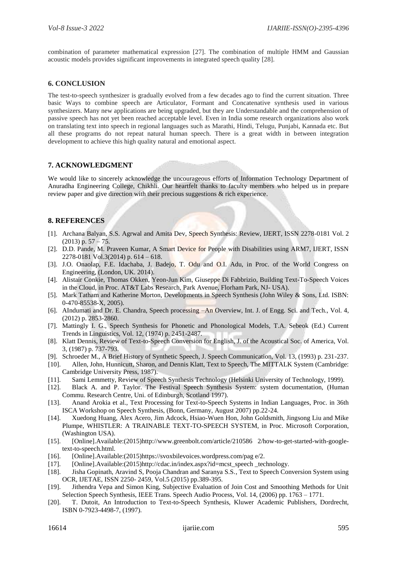combination of parameter mathematical expression [27]. The combination of multiple HMM and Gaussian acoustic models provides significant improvements in integrated speech quality [28].

## **6. CONCLUSION**

The test-to-speech synthesizer is gradually evolved from a few decades ago to find the current situation. Three basic Ways to combine speech are Articulator, Formant and Concatenative synthesis used in various synthesizers. Many new applications are being upgraded, but they are Understandable and the comprehension of passive speech has not yet been reached acceptable level. Even in India some research organizations also work on translating text into speech in regional languages such as Marathi, Hindi, Telugu, Punjabi, Kannada etc. But all these programs do not repeat natural human speech. There is a great width in between integration development to achieve this high quality natural and emotional aspect.

# **7. ACKNOWLEDGMENT**

We would like to sincerely acknowledge the uncourageous efforts of Information Technology Department of Anuradha Engineering College, Chikhli. Our heartfelt thanks to faculty members who helped us in prepare review paper and give direction with their precious suggestions & rich experience.

# **8. REFERENCES**

- [1]. Archana Balyan, S.S. Agrwal and Amita Dev, Speech Synthesis: Review, IJERT, ISSN 2278-0181 Vol. 2  $(2013)$  p.  $57 - 75$ .
- [2]. D.D. Pande, M. Praveen Kumar, A Smart Device for People with Disabilities using ARM7, IJERT, ISSN 2278-0181 Vol.3(2014) p. 614 – 618.
- [3]. J.O. Onaolap, F.E. Idachaba, J. Badejo, T. Odu and O.I. Adu, in Proc. of the World Congress on Engineering, (London, UK. 2014).
- [4]. Alistair Conkie, Thomas Okken, Yeon-Jun Kim, Giuseppe Di Fabbrizio, Building Text-To-Speech Voices in the Cloud, in Proc. AT&T Labs Research, Park Avenue, Florham Park, NJ- USA).
- [5]. Mark Tatham and Katherine Morton, Developments in Speech Synthesis (John Wiley & Sons, Ltd. ISBN: 0-470-85538-X, 2005).
- [6]. AIndumati and Dr. E. Chandra, Speech processing –An Overview, Int. J. of Engg. Sci. and Tech., Vol. 4, (2012) p. 2853-2860.
- [7]. Mattingly I. G., Speech Synthesis for Phonetic and Phonological Models, T.A. Sebeok (Ed.) Current Trends in Linguistics, Vol. 12, (1974) p. 2451-2487.
- [8]. Klatt Dennis, Review of Text-to-Speech Conversion for English, J. of the Acoustical Soc. of America, Vol. 3, (1987) p. 737-793.
- [9]. Schroeder M., A Brief History of Synthetic Speech, J. Speech Communication, Vol. 13, (1993) p. 231-237.
- [10]. Allen, John, Hunnicutt, Sharon, and Dennis Klatt, Text to Speech, The MITTALK System (Cambridge: Cambridge University Press, 1987).
- [11]. Sami Lemmetty, Review of Speech Synthesis Technology (Helsinki University of Technology, 1999).
- [12]. Black A. and P. Taylor. The Festival Speech Synthesis System: system documentation, (Human Commu. Research Centre, Uni. of Edinburgh, Scotland 1997).
- [13]. Anand Arokia et al., Text Processing for Text-to-Speech Systems in Indian Languages, Proc. in 36th ISCA Workshop on Speech Synthesis, (Bonn, Germany, August 2007) pp.22-24.
- [14]. Xuedong Huang, Alex Acero, Jim Adcock, Hsiao-Wuen Hon, John Goldsmith, Jingsong Liu and Mike Plumpe, WHISTLER: A TRAINABLE TEXT-TO-SPEECH SYSTEM, in Proc. Microsoft Corporation, (Washington USA).
- [15]. [Online].Available:(2015)http://www.greenbolt.com/article/210586 2/how-to-get-started-with-googletext-to-speech.html.
- [16]. [Online].Available:(2015)https://svoxbilevoices.wordpress.com/pag e/2.
- [17]. [Online].Available:(2015)http://cdac.in/index.aspx?id=mcst\_speech\_technology.
- [18]. Jisha Gopinath, Aravind S, Pooja Chandran and Saranya S.S., Text to Speech Conversion System using OCR, IJETAE, ISSN 2250- 2459, Vol.5 (2015) pp.389-395.
- [19]. Jithendra Vepa and Simon King, Subjective Evaluation of Join Cost and Smoothing Methods for Unit Selection Speech Synthesis, IEEE Trans. Speech Audio Process, Vol. 14, (2006) pp. 1763 – 1771.
- [20]. T. Dutoit, An Introduction to Text-to-Speech Synthesis, Kluwer Academic Publishers, Dordrecht, ISBN 0-7923-4498-7, (1997).